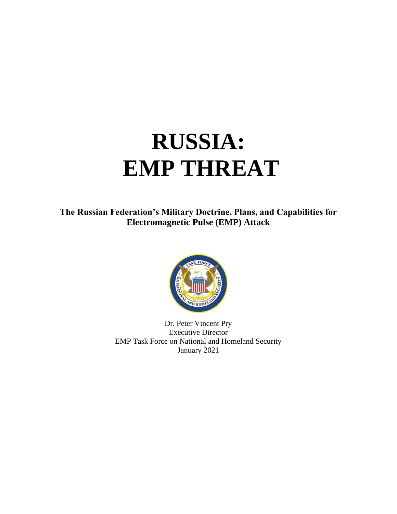# **RUSSIA: EMP THREAT**

**The Russian Federation's Military Doctrine, Plans, and Capabilities for Electromagnetic Pulse (EMP) Attack**



Dr. Peter Vincent Pry Executive Director EMP Task Force on National and Homeland Security January 2021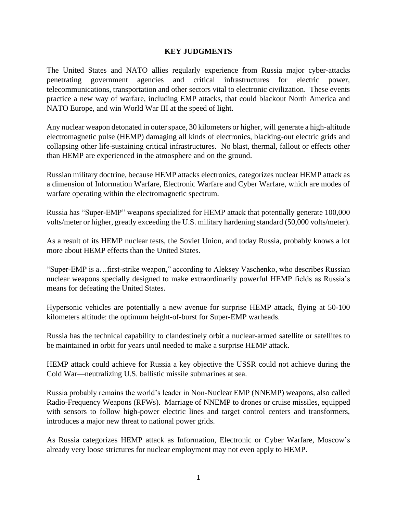#### **KEY JUDGMENTS**

The United States and NATO allies regularly experience from Russia major cyber-attacks penetrating government agencies and critical infrastructures for electric power, telecommunications, transportation and other sectors vital to electronic civilization. These events practice a new way of warfare, including EMP attacks, that could blackout North America and NATO Europe, and win World War III at the speed of light.

Any nuclear weapon detonated in outer space, 30 kilometers or higher, will generate a high-altitude electromagnetic pulse (HEMP) damaging all kinds of electronics, blacking-out electric grids and collapsing other life-sustaining critical infrastructures. No blast, thermal, fallout or effects other than HEMP are experienced in the atmosphere and on the ground.

Russian military doctrine, because HEMP attacks electronics, categorizes nuclear HEMP attack as a dimension of Information Warfare, Electronic Warfare and Cyber Warfare, which are modes of warfare operating within the electromagnetic spectrum.

Russia has "Super-EMP" weapons specialized for HEMP attack that potentially generate 100,000 volts/meter or higher, greatly exceeding the U.S. military hardening standard (50,000 volts/meter).

As a result of its HEMP nuclear tests, the Soviet Union, and today Russia, probably knows a lot more about HEMP effects than the United States.

"Super-EMP is a…first-strike weapon," according to Aleksey Vaschenko, who describes Russian nuclear weapons specially designed to make extraordinarily powerful HEMP fields as Russia's means for defeating the United States.

Hypersonic vehicles are potentially a new avenue for surprise HEMP attack, flying at 50-100 kilometers altitude: the optimum height-of-burst for Super-EMP warheads.

Russia has the technical capability to clandestinely orbit a nuclear-armed satellite or satellites to be maintained in orbit for years until needed to make a surprise HEMP attack.

HEMP attack could achieve for Russia a key objective the USSR could not achieve during the Cold War—neutralizing U.S. ballistic missile submarines at sea.

Russia probably remains the world's leader in Non-Nuclear EMP (NNEMP) weapons, also called Radio-Frequency Weapons (RFWs). Marriage of NNEMP to drones or cruise missiles, equipped with sensors to follow high-power electric lines and target control centers and transformers, introduces a major new threat to national power grids.

As Russia categorizes HEMP attack as Information, Electronic or Cyber Warfare, Moscow's already very loose strictures for nuclear employment may not even apply to HEMP.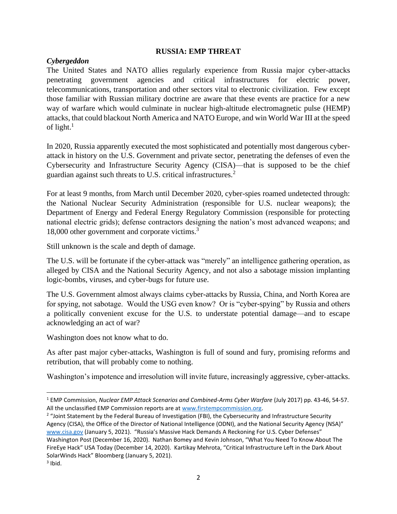#### **RUSSIA: EMP THREAT**

# *Cybergeddon*

The United States and NATO allies regularly experience from Russia major cyber-attacks penetrating government agencies and critical infrastructures for electric power, telecommunications, transportation and other sectors vital to electronic civilization. Few except those familiar with Russian military doctrine are aware that these events are practice for a new way of warfare which would culminate in nuclear high-altitude electromagnetic pulse (HEMP) attacks, that could blackout North America and NATO Europe, and win World War III at the speed of light. $1$ 

In 2020, Russia apparently executed the most sophisticated and potentially most dangerous cyberattack in history on the U.S. Government and private sector, penetrating the defenses of even the Cybersecurity and Infrastructure Security Agency (CISA)—that is supposed to be the chief guardian against such threats to U.S. critical infrastructures.<sup>2</sup>

For at least 9 months, from March until December 2020, cyber-spies roamed undetected through: the National Nuclear Security Administration (responsible for U.S. nuclear weapons); the Department of Energy and Federal Energy Regulatory Commission (responsible for protecting national electric grids); defense contractors designing the nation's most advanced weapons; and 18,000 other government and corporate victims.<sup>3</sup>

Still unknown is the scale and depth of damage.

The U.S. will be fortunate if the cyber-attack was "merely" an intelligence gathering operation, as alleged by CISA and the National Security Agency, and not also a sabotage mission implanting logic-bombs, viruses, and cyber-bugs for future use.

The U.S. Government almost always claims cyber-attacks by Russia, China, and North Korea are for spying, not sabotage. Would the USG even know? Or is "cyber-spying" by Russia and others a politically convenient excuse for the U.S. to understate potential damage—and to escape acknowledging an act of war?

Washington does not know what to do.

As after past major cyber-attacks, Washington is full of sound and fury, promising reforms and retribution, that will probably come to nothing.

Washington's impotence and irresolution will invite future, increasingly aggressive, cyber-attacks.

<sup>1</sup> EMP Commission, *Nuclear EMP Attack Scenarios and Combined-Arms Cyber Warfare* (July 2017) pp. 43-46, 54-57. All the unclassified EMP Commission reports are at [www.firstempcommission.org.](http://www.firstempcommission.org/)

<sup>&</sup>lt;sup>2</sup> "Joint Statement by the Federal Bureau of Investigation (FBI), the Cybersecurity and Infrastructure Security Agency (CISA), the Office of the Director of National Intelligence (ODNI), and the National Security Agency (NSA)" [www.cisa.gov](http://www.cisa.gov/) (January 5, 2021). "Russia's Massive Hack Demands A Reckoning For U.S. Cyber Defenses" Washington Post (December 16, 2020). Nathan Bomey and Kevin Johnson, "What You Need To Know About The FireEye Hack" USA Today (December 14, 2020). Kartikay Mehrota, "Critical Infrastructure Left in the Dark About SolarWinds Hack" Bloomberg (January 5, 2021).

 $3$  Ibid.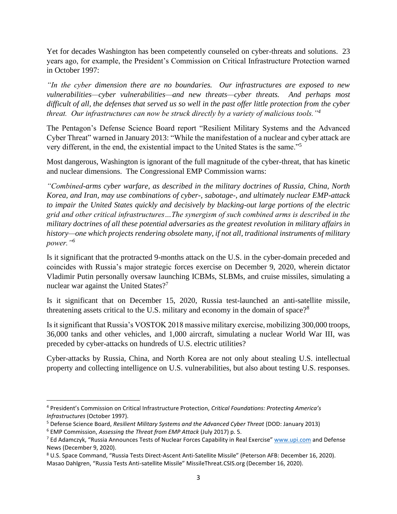Yet for decades Washington has been competently counseled on cyber-threats and solutions. 23 years ago, for example, the President's Commission on Critical Infrastructure Protection warned in October 1997:

*"In the cyber dimension there are no boundaries. Our infrastructures are exposed to new vulnerabilities—cyber vulnerabilities—and new threats—cyber threats. And perhaps most difficult of all, the defenses that served us so well in the past offer little protection from the cyber threat. Our infrastructures can now be struck directly by a variety of malicious tools."<sup>4</sup>*

The Pentagon's Defense Science Board report "Resilient Military Systems and the Advanced Cyber Threat" warned in January 2013: "While the manifestation of a nuclear and cyber attack are very different, in the end, the existential impact to the United States is the same."<sup>5</sup>

Most dangerous, Washington is ignorant of the full magnitude of the cyber-threat, that has kinetic and nuclear dimensions. The Congressional EMP Commission warns:

*"Combined-arms cyber warfare, as described in the military doctrines of Russia, China, North Korea, and Iran, may use combinations of cyber-, sabotage-, and ultimately nuclear EMP-attack to impair the United States quickly and decisively by blacking-out large portions of the electric grid and other critical infrastructures…The synergism of such combined arms is described in the military doctrines of all these potential adversaries as the greatest revolution in military affairs in history—one which projects rendering obsolete many, if not all, traditional instruments of military power."<sup>6</sup>*

Is it significant that the protracted 9-months attack on the U.S. in the cyber-domain preceded and coincides with Russia's major strategic forces exercise on December 9, 2020, wherein dictator Vladimir Putin personally oversaw launching ICBMs, SLBMs, and cruise missiles, simulating a nuclear war against the United States?<sup>7</sup>

Is it significant that on December 15, 2020, Russia test-launched an anti-satellite missile, threatening assets critical to the U.S. military and economy in the domain of space?<sup>8</sup>

Is it significant that Russia's VOSTOK 2018 massive military exercise, mobilizing 300,000 troops, 36,000 tanks and other vehicles, and 1,000 aircraft, simulating a nuclear World War III, was preceded by cyber-attacks on hundreds of U.S. electric utilities?

Cyber-attacks by Russia, China, and North Korea are not only about stealing U.S. intellectual property and collecting intelligence on U.S. vulnerabilities, but also about testing U.S. responses.

<sup>4</sup> President's Commission on Critical Infrastructure Protection, *Critical Foundations: Protecting America's Infrastructures* (October 1997).

<sup>5</sup> Defense Science Board, *Resilient Military Systems and the Advanced Cyber Threat* (DOD: January 2013)

<sup>6</sup> EMP Commission, *Assessing the Threat from EMP Attack* (July 2017) p. 5.

<sup>&</sup>lt;sup>7</sup> Ed Adamczyk, "Russia Announces Tests of Nuclear Forces Capability in Real Exercise" [www.upi.com](http://www.upi.com/) and Defense News (December 9, 2020).

<sup>8</sup> U.S. Space Command, "Russia Tests Direct-Ascent Anti-Satellite Missile" (Peterson AFB: December 16, 2020). Masao Dahlgren, "Russia Tests Anti-satellite Missile" MissileThreat.CSIS.org (December 16, 2020).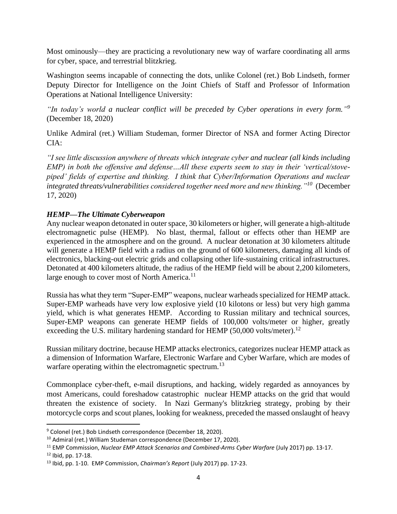Most ominously—they are practicing a revolutionary new way of warfare coordinating all arms for cyber, space, and terrestrial blitzkrieg.

Washington seems incapable of connecting the dots, unlike Colonel (ret.) Bob Lindseth, former Deputy Director for Intelligence on the Joint Chiefs of Staff and Professor of Information Operations at National Intelligence University:

*"In today's world a nuclear conflict will be preceded by Cyber operations in every form." 9* (December 18, 2020)

Unlike Admiral (ret.) William Studeman, former Director of NSA and former Acting Director CIA:

*"I see little discussion anywhere of threats which integrate cyber and nuclear (all kinds including EMP) in both the offensive and defense…All these experts seem to stay in their 'vertical/stovepiped' fields of expertise and thinking. I think that Cyber/Information Operations and nuclear integrated threats/vulnerabilities considered together need more and new thinking."<sup>10</sup>* (December 17, 2020)

# *HEMP—The Ultimate Cyberweapon*

Any nuclear weapon detonated in outer space, 30 kilometers or higher, will generate a high-altitude electromagnetic pulse (HEMP). No blast, thermal, fallout or effects other than HEMP are experienced in the atmosphere and on the ground. A nuclear detonation at 30 kilometers altitude will generate a HEMP field with a radius on the ground of 600 kilometers, damaging all kinds of electronics, blacking-out electric grids and collapsing other life-sustaining critical infrastructures. Detonated at 400 kilometers altitude, the radius of the HEMP field will be about 2,200 kilometers, large enough to cover most of North America.<sup>11</sup>

Russia has what they term "Super-EMP" weapons, nuclear warheads specialized for HEMP attack. Super-EMP warheads have very low explosive yield (10 kilotons or less) but very high gamma yield, which is what generates HEMP. According to Russian military and technical sources, Super-EMP weapons can generate HEMP fields of 100,000 volts/meter or higher, greatly exceeding the U.S. military hardening standard for HEMP  $(50,000 \text{ volts/meter})$ .<sup>12</sup>

Russian military doctrine, because HEMP attacks electronics, categorizes nuclear HEMP attack as a dimension of Information Warfare, Electronic Warfare and Cyber Warfare, which are modes of warfare operating within the electromagnetic spectrum.<sup>13</sup>

Commonplace cyber-theft, e-mail disruptions, and hacking, widely regarded as annoyances by most Americans, could foreshadow catastrophic nuclear HEMP attacks on the grid that would threaten the existence of society. In Nazi Germany's blitzkrieg strategy, probing by their motorcycle corps and scout planes, looking for weakness, preceded the massed onslaught of heavy

<sup>9</sup> Colonel (ret.) Bob Lindseth correspondence (December 18, 2020).

<sup>10</sup> Admiral (ret.) William Studeman correspondence (December 17, 2020).

<sup>11</sup> EMP Commission, *Nuclear EMP Attack Scenarios and Combined-Arms Cyber Warfare* (July 2017) pp. 13-17.  $12$  Ibid, pp. 17-18.

<sup>13</sup> Ibid, pp. 1-10. EMP Commission, *Chairman's Report* (July 2017) pp. 17-23.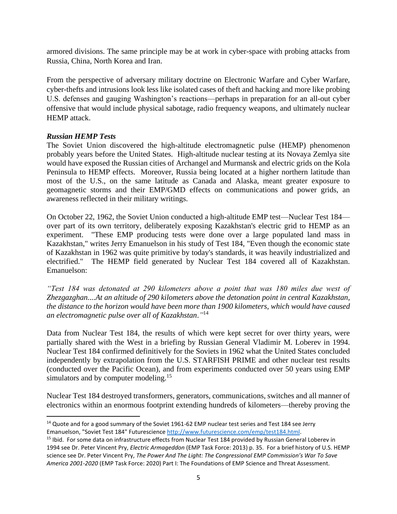armored divisions. The same principle may be at work in cyber-space with probing attacks from Russia, China, North Korea and Iran.

From the perspective of adversary military doctrine on Electronic Warfare and Cyber Warfare, cyber-thefts and intrusions look less like isolated cases of theft and hacking and more like probing U.S. defenses and gauging Washington's reactions—perhaps in preparation for an all-out cyber offensive that would include physical sabotage, radio frequency weapons, and ultimately nuclear HEMP attack.

# *Russian HEMP Tests*

The Soviet Union discovered the high-altitude electromagnetic pulse (HEMP) phenomenon probably years before the United States. High-altitude nuclear testing at its Novaya Zemlya site would have exposed the Russian cities of Archangel and Murmansk and electric grids on the Kola Peninsula to HEMP effects. Moreover, Russia being located at a higher northern latitude than most of the U.S., on the same latitude as Canada and Alaska, meant greater exposure to geomagnetic storms and their EMP/GMD effects on communications and power grids, an awareness reflected in their military writings.

On October 22, 1962, the Soviet Union conducted a high-altitude EMP test—Nuclear Test 184 over part of its own territory, deliberately exposing Kazakhstan's electric grid to HEMP as an experiment. "These EMP producing tests were done over a large populated land mass in Kazakhstan," writes Jerry Emanuelson in his study of Test 184, "Even though the economic state of Kazakhstan in 1962 was quite primitive by today's standards, it was heavily industrialized and electrified." The HEMP field generated by Nuclear Test 184 covered all of Kazakhstan. Emanuelson:

*"Test 184 was detonated at 290 kilometers above a point that was 180 miles due west of Zhezgazghan....At an altitude of 290 kilometers above the detonation point in central Kazakhstan, the distance to the horizon would have been more than 1900 kilometers, which would have caused an electromagnetic pulse over all of Kazakhstan*.*"* 14

Data from Nuclear Test 184, the results of which were kept secret for over thirty years, were partially shared with the West in a briefing by Russian General Vladimir M. Loberev in 1994. Nuclear Test 184 confirmed definitively for the Soviets in 1962 what the United States concluded independently by extrapolation from the U.S. STARFISH PRIME and other nuclear test results (conducted over the Pacific Ocean), and from experiments conducted over 50 years using EMP simulators and by computer modeling.<sup>15</sup>

Nuclear Test 184 destroyed transformers, generators, communications, switches and all manner of electronics within an enormous footprint extending hundreds of kilometers—thereby proving the

<sup>&</sup>lt;sup>14</sup> Quote and for a good summary of the Soviet 1961-62 EMP nuclear test series and Test 184 see Jerry Emanuelson, "Soviet Test 184" Futurescience [http://www.futurescience.com/emp/test184.html.](http://www.futurescience.com/emp/test184.html)

<sup>&</sup>lt;sup>15</sup> Ibid. For some data on infrastructure effects from Nuclear Test 184 provided by Russian General Loberev in 1994 see Dr. Peter Vincent Pry, *Electric Armageddon* (EMP Task Force: 2013) p. 35. For a brief history of U.S. HEMP science see Dr. Peter Vincent Pry, *The Power And The Light: The Congressional EMP Commission's War To Save America 2001-2020* (EMP Task Force: 2020) Part I: The Foundations of EMP Science and Threat Assessment.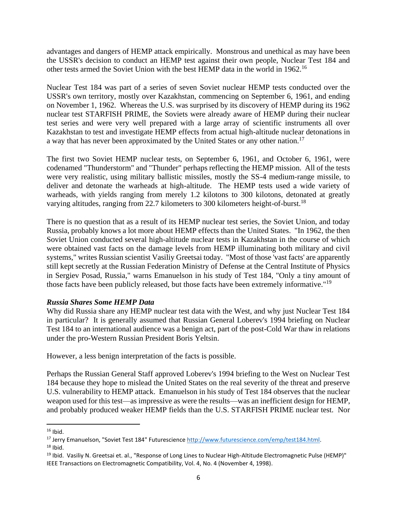advantages and dangers of HEMP attack empirically. Monstrous and unethical as may have been the USSR's decision to conduct an HEMP test against their own people, Nuclear Test 184 and other tests armed the Soviet Union with the best HEMP data in the world in 1962.<sup>16</sup>

Nuclear Test 184 was part of a series of seven Soviet nuclear HEMP tests conducted over the USSR's own territory, mostly over Kazakhstan, commencing on September 6, 1961, and ending on November 1, 1962. Whereas the U.S. was surprised by its discovery of HEMP during its 1962 nuclear test STARFISH PRIME, the Soviets were already aware of HEMP during their nuclear test series and were very well prepared with a large array of scientific instruments all over Kazakhstan to test and investigate HEMP effects from actual high-altitude nuclear detonations in a way that has never been approximated by the United States or any other nation.<sup>17</sup>

The first two Soviet HEMP nuclear tests, on September 6, 1961, and October 6, 1961, were codenamed "Thunderstorm" and "Thunder" perhaps reflecting the HEMP mission. All of the tests were very realistic, using military ballistic missiles, mostly the SS-4 medium-range missile, to deliver and detonate the warheads at high-altitude. The HEMP tests used a wide variety of warheads, with yields ranging from merely 1.2 kilotons to 300 kilotons, detonated at greatly varying altitudes, ranging from 22.7 kilometers to 300 kilometers height-of-burst.<sup>18</sup>

There is no question that as a result of its HEMP nuclear test series, the Soviet Union, and today Russia, probably knows a lot more about HEMP effects than the United States. "In 1962, the then Soviet Union conducted several high-altitude nuclear tests in Kazakhstan in the course of which were obtained vast facts on the damage levels from HEMP illuminating both military and civil systems," writes Russian scientist Vasiliy Greetsai today. "Most of those 'vast facts' are apparently still kept secretly at the Russian Federation Ministry of Defense at the Central Institute of Physics in Sergiev Posad, Russia," warns Emanuelson in his study of Test 184, "Only a tiny amount of those facts have been publicly released, but those facts have been extremely informative."<sup>19</sup>

# *Russia Shares Some HEMP Data*

Why did Russia share any HEMP nuclear test data with the West, and why just Nuclear Test 184 in particular? It is generally assumed that Russian General Loberev's 1994 briefing on Nuclear Test 184 to an international audience was a benign act, part of the post-Cold War thaw in relations under the pro-Western Russian President Boris Yeltsin.

However, a less benign interpretation of the facts is possible.

Perhaps the Russian General Staff approved Loberev's 1994 briefing to the West on Nuclear Test 184 because they hope to mislead the United States on the real severity of the threat and preserve U.S. vulnerability to HEMP attack. Emanuelson in his study of Test 184 observes that the nuclear weapon used for this test—as impressive as were the results—was an inefficient design for HEMP, and probably produced weaker HEMP fields than the U.S. STARFISH PRIME nuclear test. Nor

 $16$  Ibid.

<sup>17</sup> Jerry Emanuelson, "Soviet Test 184" Futurescience [http://www.futurescience.com/emp/test184.html.](http://www.futurescience.com/emp/test184.html)

 $18$  Ibid.

<sup>&</sup>lt;sup>19</sup> Ibid. Vasiliy N. Greetsai et. al., "Response of Long Lines to Nuclear High-Altitude Electromagnetic Pulse (HEMP)" IEEE Transactions on Electromagnetic Compatibility, Vol. 4, No. 4 (November 4, 1998).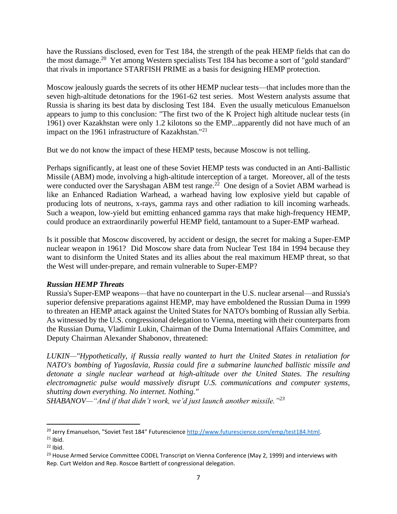have the Russians disclosed, even for Test 184, the strength of the peak HEMP fields that can do the most damage.<sup>20</sup> Yet among Western specialists Test 184 has become a sort of "gold standard" that rivals in importance STARFISH PRIME as a basis for designing HEMP protection.

Moscow jealously guards the secrets of its other HEMP nuclear tests—that includes more than the seven high-altitude detonations for the 1961-62 test series. Most Western analysts assume that Russia is sharing its best data by disclosing Test 184. Even the usually meticulous Emanuelson appears to jump to this conclusion: "The first two of the K Project high altitude nuclear tests (in 1961) over Kazakhstan were only 1.2 kilotons so the EMP...apparently did not have much of an impact on the 1961 infrastructure of Kazakhstan."<sup>21</sup>

But we do not know the impact of these HEMP tests, because Moscow is not telling.

Perhaps significantly, at least one of these Soviet HEMP tests was conducted in an Anti-Ballistic Missile (ABM) mode, involving a high-altitude interception of a target. Moreover, all of the tests were conducted over the Saryshagan ABM test range.<sup>22</sup> One design of a Soviet ABM warhead is like an Enhanced Radiation Warhead, a warhead having low explosive yield but capable of producing lots of neutrons, x-rays, gamma rays and other radiation to kill incoming warheads. Such a weapon, low-yield but emitting enhanced gamma rays that make high-frequency HEMP, could produce an extraordinarily powerful HEMP field, tantamount to a Super-EMP warhead.

Is it possible that Moscow discovered, by accident or design, the secret for making a Super-EMP nuclear weapon in 1961? Did Moscow share data from Nuclear Test 184 in 1994 because they want to disinform the United States and its allies about the real maximum HEMP threat, so that the West will under-prepare, and remain vulnerable to Super-EMP?

# *Russian HEMP Threats*

Russia's Super-EMP weapons—that have no counterpart in the U.S. nuclear arsenal—and Russia's superior defensive preparations against HEMP, may have emboldened the Russian Duma in 1999 to threaten an HEMP attack against the United States for NATO's bombing of Russian ally Serbia. As witnessed by the U.S. congressional delegation to Vienna, meeting with their counterparts from the Russian Duma, Vladimir Lukin, Chairman of the Duma International Affairs Committee, and Deputy Chairman Alexander Shabonov, threatened:

*LUKIN—"Hypothetically, if Russia really wanted to hurt the United States in retaliation for NATO's bombing of Yugoslavia, Russia could fire a submarine launched ballistic missile and detonate a single nuclear warhead at high-altitude over the United States. The resulting electromagnetic pulse would massively disrupt U.S. communications and computer systems, shutting down everything. No internet. Nothing."* 

*SHABANOV—"And if that didn't work, we'd just launch another missile."<sup>23</sup>*

<sup>&</sup>lt;sup>20</sup> Jerry Emanuelson, "Soviet Test 184" Futurescience [http://www.futurescience.com/emp/test184.html.](http://www.futurescience.com/emp/test184.html)

 $21$  Ibid.

 $22$  Ibid.

 $^{23}$  House Armed Service Committee CODEL Transcript on Vienna Conference (May 2, 1999) and interviews with Rep. Curt Weldon and Rep. Roscoe Bartlett of congressional delegation.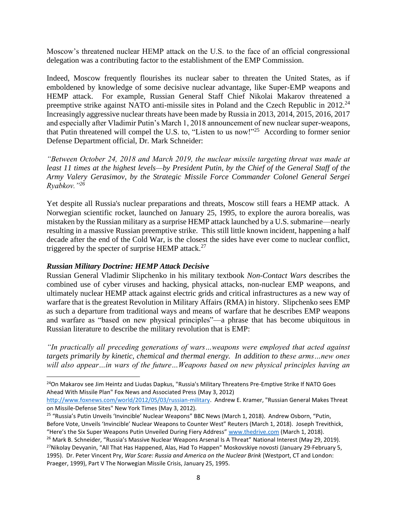Moscow's threatened nuclear HEMP attack on the U.S. to the face of an official congressional delegation was a contributing factor to the establishment of the EMP Commission.

Indeed, Moscow frequently flourishes its nuclear saber to threaten the United States, as if emboldened by knowledge of some decisive nuclear advantage, like Super-EMP weapons and HEMP attack. For example, Russian General Staff Chief Nikolai Makarov threatened a preemptive strike against NATO anti-missile sites in Poland and the Czech Republic in  $2012.<sup>24</sup>$ Increasingly aggressive nuclear threats have been made by Russia in 2013, 2014, 2015, 2016, 2017 and especially after Vladimir Putin's March 1, 2018 announcement of new nuclear super-weapons, that Putin threatened will compel the U.S. to, "Listen to us now!"<sup>25</sup> According to former senior Defense Department official, Dr. Mark Schneider:

*"Between October 24, 2018 and March 2019, the nuclear missile targeting threat was made at least 11 times at the highest levels—by President Putin, by the Chief of the General Staff of the Army Valery Gerasimov, by the Strategic Missile Force Commander Colonel General Sergei Ryabkov."<sup>26</sup>*

Yet despite all Russia's nuclear preparations and threats, Moscow still fears a HEMP attack. A Norwegian scientific rocket, launched on January 25, 1995, to explore the aurora borealis, was mistaken by the Russian military as a surprise HEMP attack launched by a U.S. submarine—nearly resulting in a massive Russian preemptive strike. This still little known incident, happening a half decade after the end of the Cold War, is the closest the sides have ever come to nuclear conflict, triggered by the specter of surprise HEMP attack.<sup>27</sup>

#### *Russian Military Doctrine: HEMP Attack Decisive*

Russian General Vladimir Slipchenko in his military textbook *Non-Contact Wars* describes the combined use of cyber viruses and hacking, physical attacks, non-nuclear EMP weapons, and ultimately nuclear HEMP attack against electric grids and critical infrastructures as a new way of warfare that is the greatest Revolution in Military Affairs (RMA) in history. Slipchenko sees EMP as such a departure from traditional ways and means of warfare that he describes EMP weapons and warfare as "based on new physical principles"—a phrase that has become ubiquitous in Russian literature to describe the military revolution that is EMP:

*"In practically all preceding generations of wars…weapons were employed that acted against targets primarily by kinetic, chemical and thermal energy. In addition to these arms…new ones will also appear…in wars of the future…Weapons based on new physical principles having an* 

<sup>&</sup>lt;sup>24</sup>On Makarov see Jim Heintz and Liudas Dapkus, "Russia's Military Threatens Pre-Emptive Strike If NATO Goes Ahead With Missile Plan" Fox News and Associated Press (May 3, 2012)

[http://www.foxnews.com/world/2012/05/03/russian-military.](http://www.foxnews.com/world/2012/05/03/russian-military) Andrew E. Kramer, "Russian General Makes Threat on Missile-Defense Sites" New York Times (May 3, 2012).

<sup>&</sup>lt;sup>25</sup> "Russia's Putin Unveils 'Invincible' Nuclear Weapons" BBC News (March 1, 2018). Andrew Osborn, "Putin, Before Vote, Unveils 'Invincible' Nuclear Weapons to Counter West" Reuters (March 1, 2018). Joseph Trevithick,

<sup>&</sup>quot;Here's the Six Super Weapons Putin Unveiled During Fiery Address" [www.thedrive.com](http://www.thedrive.com/) (March 1, 2018). <sup>26</sup> Mark B. Schneider, "Russia's Massive Nuclear Weapons Arsenal Is A Threat" National Interest (May 29, 2019). <sup>27</sup>Nikolay Devyanin, "All That Has Happened, Alas, Had To Happen" Moskovskiye novosti (January 29-February 5, 1995). Dr. Peter Vincent Pry, *War Scare: Russia and America on the Nuclear Brink* (Westport, CT and London: Praeger, 1999), Part V The Norwegian Missile Crisis, January 25, 1995.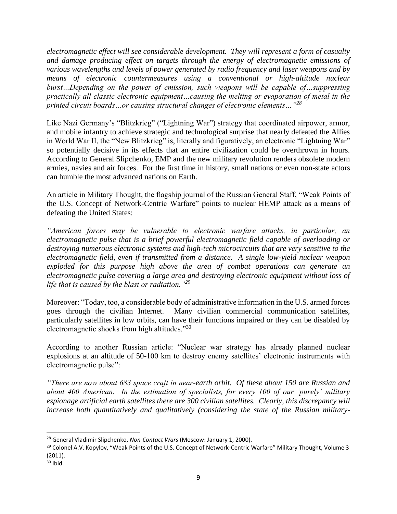*electromagnetic effect will see considerable development. They will represent a form of casualty and damage producing effect on targets through the energy of electromagnetic emissions of various wavelengths and levels of power generated by radio frequency and laser weapons and by means of electronic countermeasures using a conventional or high-altitude nuclear burst…Depending on the power of emission, such weapons will be capable of…suppressing practically all classic electronic equipment…causing the melting or evaporation of metal in the printed circuit boards…or causing structural changes of electronic elements…"<sup>28</sup>*

Like Nazi Germany's "Blitzkrieg" ("Lightning War") strategy that coordinated airpower, armor, and mobile infantry to achieve strategic and technological surprise that nearly defeated the Allies in World War II, the "New Blitzkrieg" is, literally and figuratively, an electronic "Lightning War" so potentially decisive in its effects that an entire civilization could be overthrown in hours. According to General Slipchenko, EMP and the new military revolution renders obsolete modern armies, navies and air forces. For the first time in history, small nations or even non-state actors can humble the most advanced nations on Earth.

An article in Military Thought, the flagship journal of the Russian General Staff, "Weak Points of the U.S. Concept of Network-Centric Warfare" points to nuclear HEMP attack as a means of defeating the United States:

*"American forces may be vulnerable to electronic warfare attacks, in particular, an electromagnetic pulse that is a brief powerful electromagnetic field capable of overloading or destroying numerous electronic systems and high-tech microcircuits that are very sensitive to the electromagnetic field, even if transmitted from a distance. A single low-yield nuclear weapon exploded for this purpose high above the area of combat operations can generate an electromagnetic pulse covering a large area and destroying electronic equipment without loss of*  life that is caused by the blast or radiation.<sup>"29</sup>

Moreover: "Today, too, a considerable body of administrative information in the U.S. armed forces goes through the civilian Internet. Many civilian commercial communication satellites, particularly satellites in low orbits, can have their functions impaired or they can be disabled by electromagnetic shocks from high altitudes."<sup>30</sup>

According to another Russian article: "Nuclear war strategy has already planned nuclear explosions at an altitude of 50-100 km to destroy enemy satellites' electronic instruments with electromagnetic pulse":

*"There are now about 683 space craft in near-earth orbit. Of these about 150 are Russian and about 400 American. In the estimation of specialists, for every 100 of our 'purely' military espionage artificial earth satellites there are 300 civilian satellites. Clearly, this discrepancy will increase both quantitatively and qualitatively (considering the state of the Russian military-*

<sup>28</sup> General Vladimir Slipchenko, *Non-Contact Wars* (Moscow: January 1, 2000).

<sup>&</sup>lt;sup>29</sup> Colonel A.V. Kopylov, "Weak Points of the U.S. Concept of Network-Centric Warfare" Military Thought, Volume 3 (2011).

 $30$  Ibid.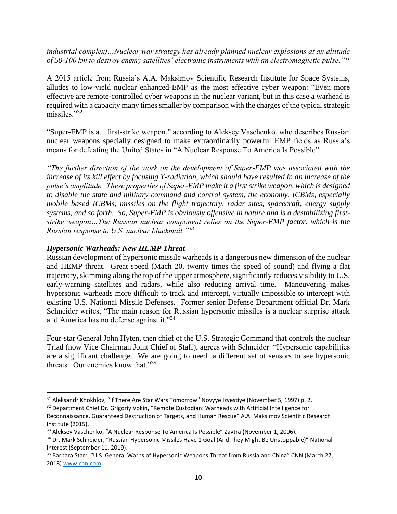*industrial complex)…Nuclear war strategy has already planned nuclear explosions at an altitude of 50-100 km to destroy enemy satellites' electronic instruments with an electromagnetic pulse."<sup>31</sup>*

A 2015 article from Russia's A.A. Maksimov Scientific Research Institute for Space Systems, alludes to low-yield nuclear enhanced-EMP as the most effective cyber weapon: "Even more effective are remote-controlled cyber weapons in the nuclear variant, but in this case a warhead is required with a capacity many times smaller by comparison with the charges of the typical strategic missiles."<sup>32</sup>

"Super-EMP is a…first-strike weapon," according to Aleksey Vaschenko, who describes Russian nuclear weapons specially designed to make extraordinarily powerful EMP fields as Russia's means for defeating the United States in "A Nuclear Response To America Is Possible":

*"The further direction of the work on the development of Super-EMP was associated with the increase of its kill effect by focusing Y-radiation, which should have resulted in an increase of the pulse's amplitude. These properties of Super-EMP make it a first strike weapon, which is designed to disable the state and military command and control system, the economy, ICBMs, especially mobile based ICBMs, missiles on the flight trajectory, radar sites, spacecraft, energy supply systems, and so forth. So, Super-EMP is obviously offensive in nature and is a destabilizing firststrike weapon…The Russian nuclear component relies on the Super-EMP factor, which is the Russian response to U.S. nuclear blackmail."<sup>33</sup>*

#### *Hypersonic Warheads: New HEMP Threat*

Russian development of hypersonic missile warheads is a dangerous new dimension of the nuclear and HEMP threat. Great speed (Mach 20, twenty times the speed of sound) and flying a flat trajectory, skimming along the top of the upper atmosphere, significantly reduces visibility to U.S. early-warning satellites and radars, while also reducing arrival time. Maneuvering makes hypersonic warheads more difficult to track and intercept, virtually impossible to intercept with existing U.S. National Missile Defenses. Former senior Defense Department official Dr. Mark Schneider writes, "The main reason for Russian hypersonic missiles is a nuclear surprise attack and America has no defense against it."<sup>34</sup>

Four-star General John Hyten, then chief of the U.S. Strategic Command that controls the nuclear Triad (now Vice Chairman Joint Chief of Staff), agrees with Schneider: "Hypersonic capabilities are a significant challenge. We are going to need a different set of sensors to see hypersonic threats. Our enemies know that."<sup>35</sup>

<sup>&</sup>lt;sup>31</sup> Aleksandr Khokhlov, "If There Are Star Wars Tomorrow" Novyye Izvestiye (November 5, 1997) p. 2.

<sup>&</sup>lt;sup>32</sup> Department Chief Dr. Grigoriy Vokin, "Remote Custodian: Warheads with Artificial Intelligence for Reconnaissance, Guaranteed Destruction of Targets, and Human Rescue" A.A. Maksimov Scientific Research Institute (2015).

<sup>&</sup>lt;sup>33</sup> Aleksey Vaschenko, "A Nuclear Response To America Is Possible" Zavtra (November 1, 2006).

<sup>&</sup>lt;sup>34</sup> Dr. Mark Schneider, "Russian Hypersonic Missiles Have 1 Goal (And They Might Be Unstoppable)" National Interest (September 11, 2019).

<sup>&</sup>lt;sup>35</sup> Barbara Starr, "U.S. General Warns of Hypersonic Weapons Threat from Russia and China" CNN (March 27, 2018[\) www.cnn.com.](http://www.cnn.com/)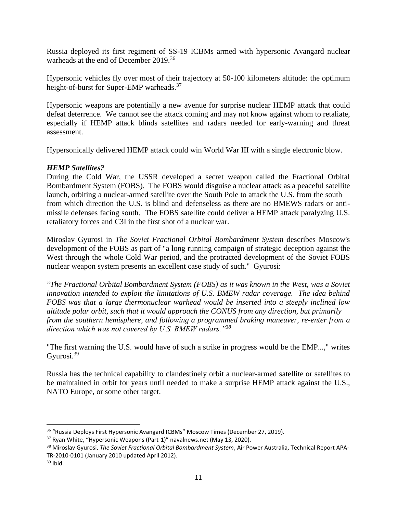Russia deployed its first regiment of SS-19 ICBMs armed with hypersonic Avangard nuclear warheads at the end of December 2019.<sup>36</sup>

Hypersonic vehicles fly over most of their trajectory at 50-100 kilometers altitude: the optimum height-of-burst for Super-EMP warheads.<sup>37</sup>

Hypersonic weapons are potentially a new avenue for surprise nuclear HEMP attack that could defeat deterrence. We cannot see the attack coming and may not know against whom to retaliate, especially if HEMP attack blinds satellites and radars needed for early-warning and threat assessment.

Hypersonically delivered HEMP attack could win World War III with a single electronic blow.

#### *HEMP Satellites?*

During the Cold War, the USSR developed a secret weapon called the Fractional Orbital Bombardment System (FOBS). The FOBS would disguise a nuclear attack as a peaceful satellite launch, orbiting a nuclear-armed satellite over the South Pole to attack the U.S. from the south from which direction the U.S. is blind and defenseless as there are no BMEWS radars or antimissile defenses facing south. The FOBS satellite could deliver a HEMP attack paralyzing U.S. retaliatory forces and C3I in the first shot of a nuclear war.

Miroslav Gyurosi in *The Soviet Fractional Orbital Bombardment System* describes Moscow's development of the FOBS as part of "a long running campaign of strategic deception against the West through the whole Cold War period, and the protracted development of the Soviet FOBS nuclear weapon system presents an excellent case study of such." Gyurosi:

"*The Fractional Orbital Bombardment System (FOBS) as it was known in the West, was a Soviet innovation intended to exploit the limitations of U.S. BMEW radar coverage. The idea behind FOBS was that a large thermonuclear warhead would be inserted into a steeply inclined low altitude polar orbit, such that it would approach the CONUS from any direction, but primarily from the southern hemisphere, and following a programmed braking maneuver, re-enter from a direction which was not covered by U.S. BMEW radars."<sup>38</sup>*

"The first warning the U.S. would have of such a strike in progress would be the EMP...," writes Gyurosi.<sup>39</sup>

Russia has the technical capability to clandestinely orbit a nuclear-armed satellite or satellites to be maintained in orbit for years until needed to make a surprise HEMP attack against the U.S., NATO Europe, or some other target.

<sup>36</sup> "Russia Deploys First Hypersonic Avangard ICBMs" Moscow Times (December 27, 2019).

<sup>37</sup> Ryan White, "Hypersonic Weapons (Part-1)" navalnews.net (May 13, 2020).

<sup>38</sup> Miroslav Gyurosi, *The Soviet Fractional Orbital Bombardment System*, Air Power Australia, Technical Report APA-TR-2010-0101 (January 2010 updated April 2012).

 $39$  Ibid.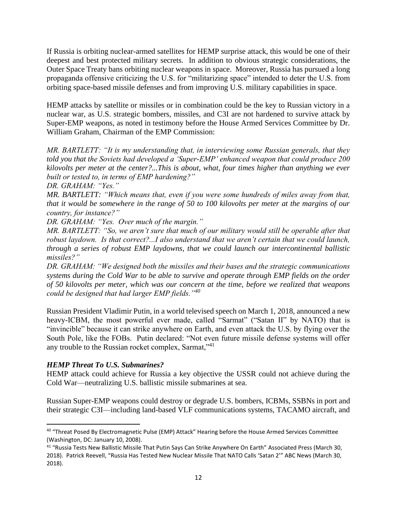If Russia is orbiting nuclear-armed satellites for HEMP surprise attack, this would be one of their deepest and best protected military secrets. In addition to obvious strategic considerations, the Outer Space Treaty bans orbiting nuclear weapons in space. Moreover, Russia has pursued a long propaganda offensive criticizing the U.S. for "militarizing space" intended to deter the U.S. from orbiting space-based missile defenses and from improving U.S. military capabilities in space.

HEMP attacks by satellite or missiles or in combination could be the key to Russian victory in a nuclear war, as U.S. strategic bombers, missiles, and C3I are not hardened to survive attack by Super-EMP weapons, as noted in testimony before the House Armed Services Committee by Dr. William Graham, Chairman of the EMP Commission:

*MR. BARTLETT: "It is my understanding that, in interviewing some Russian generals, that they told you that the Soviets had developed a 'Super-EMP' enhanced weapon that could produce 200 kilovolts per meter at the center?...This is about, what, four times higher than anything we ever built or tested to, in terms of EMP hardening?"*

*DR. GRAHAM: "Yes."*

*MR. BARTLETT: "Which means that, even if you were some hundreds of miles away from that, that it would be somewhere in the range of 50 to 100 kilovolts per meter at the margins of our country, for instance?"*

*DR. GRAHAM: "Yes. Over much of the margin."*

*MR. BARTLETT: "So, we aren't sure that much of our military would still be operable after that robust laydown. Is that correct?...I also understand that we aren't certain that we could launch, through a series of robust EMP laydowns, that we could launch our intercontinental ballistic missiles?"*

*DR. GRAHAM: "We designed both the missiles and their bases and the strategic communications systems during the Cold War to be able to survive and operate through EMP fields on the order of 50 kilovolts per meter, which was our concern at the time, before we realized that weapons could be designed that had larger EMP fields."<sup>40</sup>*

Russian President Vladimir Putin, in a world televised speech on March 1, 2018, announced a new heavy-ICBM, the most powerful ever made, called "Sarmat" ("Satan II" by NATO) that is "invincible" because it can strike anywhere on Earth, and even attack the U.S. by flying over the South Pole, like the FOBs. Putin declared: "Not even future missile defense systems will offer any trouble to the Russian rocket complex, Sarmat,"<sup>41</sup>

#### *HEMP Threat To U.S. Submarines?*

HEMP attack could achieve for Russia a key objective the USSR could not achieve during the Cold War—neutralizing U.S. ballistic missile submarines at sea.

Russian Super-EMP weapons could destroy or degrade U.S. bombers, ICBMs, SSBNs in port and their strategic C3I—including land-based VLF communications systems, TACAMO aircraft, and

<sup>&</sup>lt;sup>40</sup> "Threat Posed By Electromagnetic Pulse (EMP) Attack" Hearing before the House Armed Services Committee (Washington, DC: January 10, 2008).

<sup>41</sup> "Russia Tests New Ballistic Missile That Putin Says Can Strike Anywhere On Earth" Associated Press (March 30, 2018). Patrick Reevell, "Russia Has Tested New Nuclear Missile That NATO Calls 'Satan 2'" ABC News (March 30, 2018).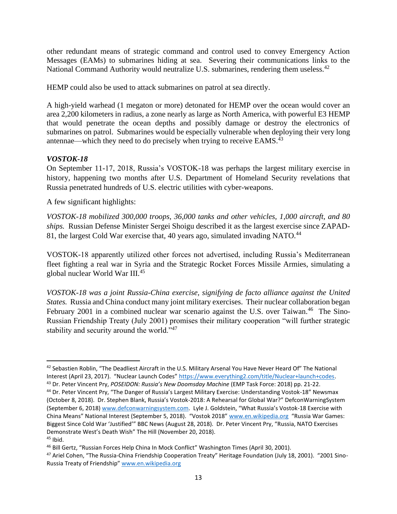other redundant means of strategic command and control used to convey Emergency Action Messages (EAMs) to submarines hiding at sea. Severing their communications links to the National Command Authority would neutralize U.S. submarines, rendering them useless.<sup>42</sup>

HEMP could also be used to attack submarines on patrol at sea directly.

A high-yield warhead (1 megaton or more) detonated for HEMP over the ocean would cover an area 2,200 kilometers in radius, a zone nearly as large as North America, with powerful E3 HEMP that would penetrate the ocean depths and possibly damage or destroy the electronics of submarines on patrol. Submarines would be especially vulnerable when deploying their very long antennae—which they need to do precisely when trying to receive  $EAMS^{43}$ 

# *VOSTOK-18*

On September 11-17, 2018, Russia's VOSTOK-18 was perhaps the largest military exercise in history, happening two months after U.S. Department of Homeland Security revelations that Russia penetrated hundreds of U.S. electric utilities with cyber-weapons.

A few significant highlights:

*VOSTOK-18 mobilized 300,000 troops, 36,000 tanks and other vehicles, 1,000 aircraft, and 80 ships.* Russian Defense Minister Sergei Shoigu described it as the largest exercise since ZAPAD-81, the largest Cold War exercise that, 40 years ago, simulated invading NATO.<sup>44</sup>

VOSTOK-18 apparently utilized other forces not advertised, including Russia's Mediterranean fleet fighting a real war in Syria and the Strategic Rocket Forces Missile Armies, simulating a global nuclear World War III.<sup>45</sup>

*VOSTOK-18 was a joint Russia-China exercise, signifying de facto alliance against the United States.* Russia and China conduct many joint military exercises. Their nuclear collaboration began February 2001 in a combined nuclear war scenario against the U.S. over Taiwan.<sup>46</sup> The Sino-Russian Friendship Treaty (July 2001) promises their military cooperation "will further strategic stability and security around the world."<sup>47</sup>

<sup>&</sup>lt;sup>42</sup> Sebastien Roblin, "The Deadliest Aircraft in the U.S. Military Arsenal You Have Never Heard Of" The National Interest (April 23, 2017). "Nuclear Launch Codes" [https://www.everything2.com/title/Nuclear+launch+codes.](https://www.everything2.com/title/Nuclear+launch+codes) <sup>43</sup> Dr. Peter Vincent Pry, *POSEIDON: Russia's New Doomsday Machine* (EMP Task Force: 2018) pp. 21-22.

<sup>44</sup> Dr. Peter Vincent Pry, "The Danger of Russia's Largest Military Exercise: Understanding Vostok-18" Newsmax (October 8, 2018). Dr. Stephen Blank, Russia's Vostok-2018: A Rehearsal for Global War?" DefconWarningSystem (September 6, 2018[\) www.defconwarningsystem.com](http://www.defconwarningsystem.com/). Lyle J. Goldstein, "What Russia's Vostok-18 Exercise with China Means" National Interest (September 5, 2018). "Vostok 2018" [www.en.wikipedia.org](http://www.en.wikipedia.org/) "Russia War Games: Biggest Since Cold War 'Justified'" BBC News (August 28, 2018). Dr. Peter Vincent Pry, "Russia, NATO Exercises Demonstrate West's Death Wish" The Hill (November 20, 2018).  $45$  Ibid.

<sup>46</sup> Bill Gertz, "Russian Forces Help China In Mock Conflict" Washington Times (April 30, 2001).

<sup>&</sup>lt;sup>47</sup> Ariel Cohen, "The Russia-China Friendship Cooperation Treaty" Heritage Foundation (July 18, 2001). "2001 Sino-Russia Treaty of Friendship" [www.en.wikipedia.org](http://www.en.wikipedia.org/)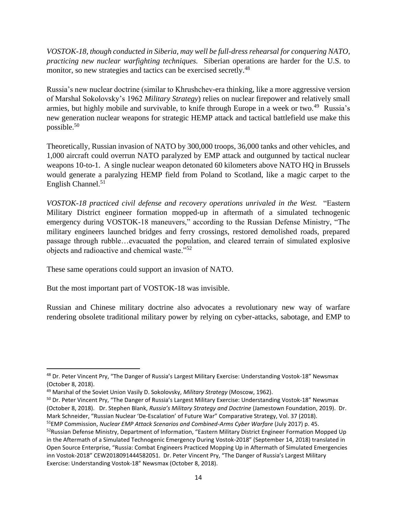*VOSTOK-18, though conducted in Siberia, may well be full-dress rehearsal for conquering NATO, practicing new nuclear warfighting techniques.* Siberian operations are harder for the U.S. to monitor, so new strategies and tactics can be exercised secretly.<sup>48</sup>

Russia's new nuclear doctrine (similar to Khrushchev-era thinking, like a more aggressive version of Marshal Sokolovsky's 1962 *Military Strategy*) relies on nuclear firepower and relatively small armies, but highly mobile and survivable, to knife through Europe in a week or two.<sup>49</sup> Russia's new generation nuclear weapons for strategic HEMP attack and tactical battlefield use make this possible.<sup>50</sup>

Theoretically, Russian invasion of NATO by 300,000 troops, 36,000 tanks and other vehicles, and 1,000 aircraft could overrun NATO paralyzed by EMP attack and outgunned by tactical nuclear weapons 10-to-1. A single nuclear weapon detonated 60 kilometers above NATO HQ in Brussels would generate a paralyzing HEMP field from Poland to Scotland, like a magic carpet to the English Channel.<sup>51</sup>

*VOSTOK-18 practiced civil defense and recovery operations unrivaled in the West.* "Eastern Military District engineer formation mopped-up in aftermath of a simulated technogenic emergency during VOSTOK-18 maneuvers," according to the Russian Defense Ministry, "The military engineers launched bridges and ferry crossings, restored demolished roads, prepared passage through rubble…evacuated the population, and cleared terrain of simulated explosive objects and radioactive and chemical waste."<sup>52</sup>

These same operations could support an invasion of NATO.

But the most important part of VOSTOK-18 was invisible.

Russian and Chinese military doctrine also advocates a revolutionary new way of warfare rendering obsolete traditional military power by relying on cyber-attacks, sabotage, and EMP to

<sup>48</sup> Dr. Peter Vincent Pry, "The Danger of Russia's Largest Military Exercise: Understanding Vostok-18" Newsmax (October 8, 2018).

<sup>49</sup> Marshal of the Soviet Union Vasily D. Sokolovsky, *Military Strategy* (Moscow, 1962).

<sup>&</sup>lt;sup>50</sup> Dr. Peter Vincent Pry, "The Danger of Russia's Largest Military Exercise: Understanding Vostok-18" Newsmax (October 8, 2018). Dr. Stephen Blank, *Russia's Military Strategy and Doctrine* (Jamestown Foundation, 2019). Dr. Mark Schneider, "Russian Nuclear 'De-Escalation' of Future War" Comparative Strategy, Vol. 37 (2018).

<sup>51</sup>EMP Commission, *Nuclear EMP Attack Scenarios and Combined-Arms Cyber Warfare* (July 2017) p. 45. 52 Russian Defense Ministry, Department of Information, "Eastern Military District Engineer Formation Mopped Up in the Aftermath of a Simulated Technogenic Emergency During Vostok-2018" (September 14, 2018) translated in Open Source Enterprise, "Russia: Combat Engineers Practiced Mopping Up in Aftermath of Simulated Emergencies inn Vostok-2018" CEW2018091444582051. Dr. Peter Vincent Pry, "The Danger of Russia's Largest Military Exercise: Understanding Vostok-18" Newsmax (October 8, 2018).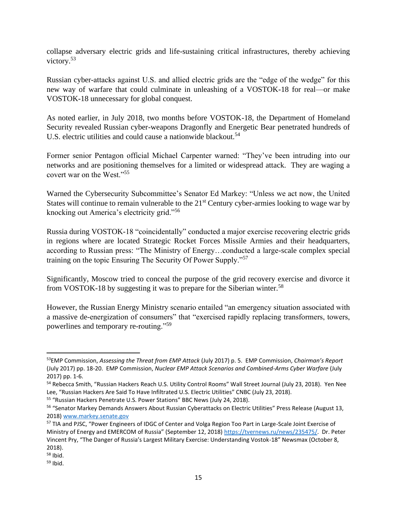collapse adversary electric grids and life-sustaining critical infrastructures, thereby achieving victory.<sup>53</sup>

Russian cyber-attacks against U.S. and allied electric grids are the "edge of the wedge" for this new way of warfare that could culminate in unleashing of a VOSTOK-18 for real—or make VOSTOK-18 unnecessary for global conquest.

As noted earlier, in July 2018, two months before VOSTOK-18, the Department of Homeland Security revealed Russian cyber-weapons Dragonfly and Energetic Bear penetrated hundreds of U.S. electric utilities and could cause a nationwide blackout.<sup>54</sup>

Former senior Pentagon official Michael Carpenter warned: "They've been intruding into our networks and are positioning themselves for a limited or widespread attack. They are waging a covert war on the West."<sup>55</sup>

Warned the Cybersecurity Subcommittee's Senator Ed Markey: "Unless we act now, the United States will continue to remain vulnerable to the  $21<sup>st</sup>$  Century cyber-armies looking to wage war by knocking out America's electricity grid."<sup>56</sup>

Russia during VOSTOK-18 "coincidentally" conducted a major exercise recovering electric grids in regions where are located Strategic Rocket Forces Missile Armies and their headquarters, according to Russian press: "The Ministry of Energy…conducted a large-scale complex special training on the topic Ensuring The Security Of Power Supply."<sup>57</sup>

Significantly, Moscow tried to conceal the purpose of the grid recovery exercise and divorce it from VOSTOK-18 by suggesting it was to prepare for the Siberian winter.<sup>58</sup>

However, the Russian Energy Ministry scenario entailed "an emergency situation associated with a massive de-energization of consumers" that "exercised rapidly replacing transformers, towers, powerlines and temporary re-routing."<sup>59</sup>

<sup>53</sup>EMP Commission, *Assessing the Threat from EMP Attack* (July 2017) p. 5. EMP Commission, *Chairman's Report*  (July 2017) pp. 18-20. EMP Commission, *Nuclear EMP Attack Scenarios and Combined-Arms Cyber Warfare* (July 2017) pp. 1-6.

<sup>54</sup> Rebecca Smith, "Russian Hackers Reach U.S. Utility Control Rooms" Wall Street Journal (July 23, 2018). Yen Nee Lee, "Russian Hackers Are Said To Have Infiltrated U.S. Electric Utilities" CNBC (July 23, 2018).

<sup>55</sup> "Russian Hackers Penetrate U.S. Power Stations" BBC News (July 24, 2018).

<sup>56</sup> "Senator Markey Demands Answers About Russian Cyberattacks on Electric Utilities" Press Release (August 13, 2018[\) www.markey.senate.gov](http://www.markey.senate.gov/) 

<sup>&</sup>lt;sup>57</sup> TIA and PJSC, "Power Engineers of IDGC of Center and Volga Region Too Part in Large-Scale Joint Exercise of Ministry of Energy and EMERCOM of Russia" (September 12, 2018) [https://tvernews.ru/news/235475/.](https://tvernews.ru/news/235475/) Dr. Peter Vincent Pry, "The Danger of Russia's Largest Military Exercise: Understanding Vostok-18" Newsmax (October 8, 2018).

 $58$  Ibid.

 $59$  Ibid.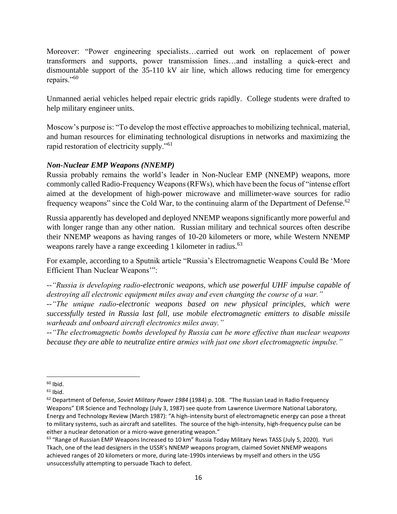Moreover: "Power engineering specialists…carried out work on replacement of power transformers and supports, power transmission lines…and installing a quick-erect and dismountable support of the 35-110 kV air line, which allows reducing time for emergency repairs."<sup>60</sup>

Unmanned aerial vehicles helped repair electric grids rapidly. College students were drafted to help military engineer units.

Moscow's purpose is: "To develop the most effective approaches to mobilizing technical, material, and human resources for eliminating technological disruptions in networks and maximizing the rapid restoration of electricity supply."<sup>61</sup>

# *Non-Nuclear EMP Weapons (NNEMP)*

Russia probably remains the world's leader in Non-Nuclear EMP (NNEMP) weapons, more commonly called Radio-Frequency Weapons (RFWs), which have been the focus of "intense effort aimed at the development of high-power microwave and millimeter-wave sources for radio frequency weapons" since the Cold War, to the continuing alarm of the Department of Defense.<sup>62</sup>

Russia apparently has developed and deployed NNEMP weapons significantly more powerful and with longer range than any other nation. Russian military and technical sources often describe their NNEMP weapons as having ranges of 10-20 kilometers or more, while Western NNEMP weapons rarely have a range exceeding 1 kilometer in radius.<sup>63</sup>

For example, according to a Sputnik article "Russia's Electromagnetic Weapons Could Be 'More Efficient Than Nuclear Weapons'":

*--"Russia is developing radio-electronic weapons, which use powerful UHF impulse capable of destroying all electronic equipment miles away and even changing the course of a war."*

*--"The unique radio-electronic weapons based on new physical principles, which were successfully tested in Russia last fall, use mobile electromagnetic emitters to disable missile warheads and onboard aircraft electronics miles away."*

*--"The electromagnetic bombs developed by Russia can be more effective than nuclear weapons because they are able to neutralize entire armies with just one short electromagnetic impulse."*

 $60$  Ibid.

 $61$  Ibid.

<sup>62</sup> Department of Defense, *Soviet Military Power 1984* (1984) p. 108. "The Russian Lead in Radio Frequency Weapons" EIR Science and Technology (July 3, 1987) see quote from Lawrence Livermore National Laboratory, Energy and Technology Review (March 1987): "A high-intensity burst of electromagnetic energy can pose a threat to military systems, such as aircraft and satellites. The source of the high-intensity, high-frequency pulse can be either a nuclear detonation or a micro-wave generating weapon."

<sup>&</sup>lt;sup>63</sup> "Range of Russian EMP Weapons Increased to 10 km" Russia Today Military News TASS (July 5, 2020). Yuri Tkach, one of the lead designers in the USSR's NNEMP weapons program, claimed Soviet NNEMP weapons achieved ranges of 20 kilometers or more, during late-1990s interviews by myself and others in the USG unsuccessfully attempting to persuade Tkach to defect.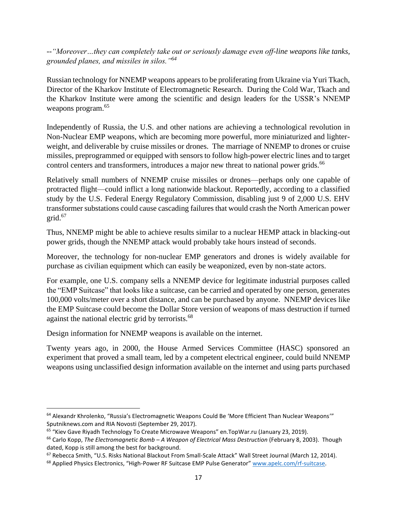*--"Moreover…they can completely take out or seriously damage even off-line weapons like tanks, grounded planes, and missiles in silos."<sup>64</sup>*

Russian technology for NNEMP weapons appears to be proliferating from Ukraine via Yuri Tkach, Director of the Kharkov Institute of Electromagnetic Research. During the Cold War, Tkach and the Kharkov Institute were among the scientific and design leaders for the USSR's NNEMP weapons program.<sup>65</sup>

Independently of Russia, the U.S. and other nations are achieving a technological revolution in Non-Nuclear EMP weapons, which are becoming more powerful, more miniaturized and lighterweight, and deliverable by cruise missiles or drones. The marriage of NNEMP to drones or cruise missiles, preprogrammed or equipped with sensors to follow high-power electric lines and to target control centers and transformers, introduces a major new threat to national power grids.<sup>66</sup>

Relatively small numbers of NNEMP cruise missiles or drones—perhaps only one capable of protracted flight—could inflict a long nationwide blackout. Reportedly, according to a classified study by the U.S. Federal Energy Regulatory Commission, disabling just 9 of 2,000 U.S. EHV transformer substations could cause cascading failures that would crash the North American power  $grid.<sup>67</sup>$ 

Thus, NNEMP might be able to achieve results similar to a nuclear HEMP attack in blacking-out power grids, though the NNEMP attack would probably take hours instead of seconds.

Moreover, the technology for non-nuclear EMP generators and drones is widely available for purchase as civilian equipment which can easily be weaponized, even by non-state actors.

For example, one U.S. company sells a NNEMP device for legitimate industrial purposes called the "EMP Suitcase" that looks like a suitcase, can be carried and operated by one person, generates 100,000 volts/meter over a short distance, and can be purchased by anyone. NNEMP devices like the EMP Suitcase could become the Dollar Store version of weapons of mass destruction if turned against the national electric grid by terrorists.<sup>68</sup>

Design information for NNEMP weapons is available on the internet.

Twenty years ago, in 2000, the House Armed Services Committee (HASC) sponsored an experiment that proved a small team, led by a competent electrical engineer, could build NNEMP weapons using unclassified design information available on the internet and using parts purchased

<sup>64</sup> Alexandr Khrolenko, "Russia's Electromagnetic Weapons Could Be 'More Efficient Than Nuclear Weapons'" Sputniknews.com and RIA Novosti (September 29, 2017).

<sup>&</sup>lt;sup>65</sup> "Kiev Gave Riyadh Technology To Create Microwave Weapons" en.TopWar.ru (January 23, 2019).

<sup>66</sup> Carlo Kopp, *The Electromagnetic Bomb – A Weapon of Electrical Mass Destruction* (February 8, 2003). Though dated, Kopp is still among the best for background.

<sup>&</sup>lt;sup>67</sup> Rebecca Smith, "U.S. Risks National Blackout From Small-Scale Attack" Wall Street Journal (March 12, 2014).

<sup>&</sup>lt;sup>68</sup> Applied Physics Electronics, "High-Power RF Suitcase EMP Pulse Generator" [www.apelc.com/rf-suitcase.](http://www.apelc.com/rf-suitcase)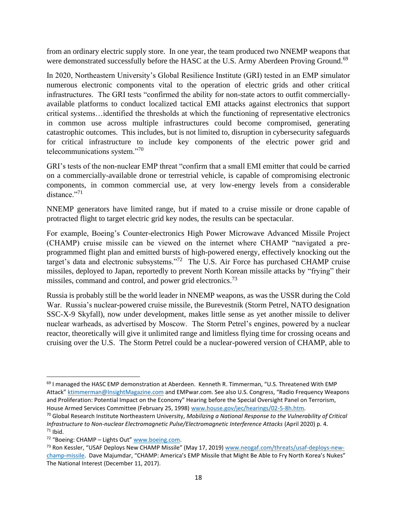from an ordinary electric supply store. In one year, the team produced two NNEMP weapons that were demonstrated successfully before the HASC at the U.S. Army Aberdeen Proving Ground.<sup>69</sup>

In 2020, Northeastern University's Global Resilience Institute (GRI) tested in an EMP simulator numerous electronic components vital to the operation of electric grids and other critical infrastructures. The GRI tests "confirmed the ability for non-state actors to outfit commerciallyavailable platforms to conduct localized tactical EMI attacks against electronics that support critical systems…identified the thresholds at which the functioning of representative electronics in common use across multiple infrastructures could become compromised, generating catastrophic outcomes. This includes, but is not limited to, disruption in cybersecurity safeguards for critical infrastructure to include key components of the electric power grid and telecommunications system."<sup>70</sup>

GRI's tests of the non-nuclear EMP threat "confirm that a small EMI emitter that could be carried on a commercially-available drone or terrestrial vehicle, is capable of compromising electronic components, in common commercial use, at very low-energy levels from a considerable distance."<sup>71</sup>

NNEMP generators have limited range, but if mated to a cruise missile or drone capable of protracted flight to target electric grid key nodes, the results can be spectacular.

For example, Boeing's Counter-electronics High Power Microwave Advanced Missile Project (CHAMP) cruise missile can be viewed on the internet where CHAMP "navigated a preprogrammed flight plan and emitted bursts of high-powered energy, effectively knocking out the target's data and electronic subsystems."<sup>72</sup> The U.S. Air Force has purchased CHAMP cruise missiles, deployed to Japan, reportedly to prevent North Korean missile attacks by "frying" their missiles, command and control, and power grid electronics.<sup>73</sup>

Russia is probably still be the world leader in NNEMP weapons, as was the USSR during the Cold War. Russia's nuclear-powered cruise missile, the Burevestnik (Storm Petrel, NATO designation SSC-X-9 Skyfall), now under development, makes little sense as yet another missile to deliver nuclear warheads, as advertised by Moscow. The Storm Petrel's engines, powered by a nuclear reactor, theoretically will give it unlimited range and limitless flying time for crossing oceans and cruising over the U.S. The Storm Petrel could be a nuclear-powered version of CHAMP, able to

<sup>&</sup>lt;sup>69</sup> I managed the HASC EMP demonstration at Aberdeen. Kenneth R. Timmerman, "U.S. Threatened With EMP Attack" [ktimmerman@InsightMagazine.com](mailto:ktimmerman@InsightMagazine.com) and EMPwar.com. See also U.S. Congress, "Radio Frequency Weapons and Proliferation: Potential Impact on the Economy" Hearing before the Special Oversight Panel on Terrorism, House Armed Services Committee (February 25, 1998) [www.house.gov/jec/hearings/02-5-8h.htm.](http://www.house.gov/jec/hearings/02-5-8h.htm)

<sup>70</sup> Global Research Institute Northeastern University, *Mobilizing a National Response to the Vulnerability of Critical Infrastructure to Non-nuclear Electromagnetic Pulse/Electromagnetic Interference Attacks (April 2020) p. 4.*  $71$  Ibid.

<sup>72</sup> "Boeing: CHAMP – Lights Out" [www.boeing.com.](http://www.boeing.com/)

<sup>73</sup> Ron Kessler, "USAF Deploys New CHAMP Missile" (May 17, 2019) [www.neogaf.com/threats/usaf-deploys-new](http://www.neogaf.com/threats/usaf-deploys-new-champ-missile)[champ-missile.](http://www.neogaf.com/threats/usaf-deploys-new-champ-missile) Dave Majumdar, "CHAMP: America's EMP Missile that Might Be Able to Fry North Korea's Nukes" The National Interest (December 11, 2017).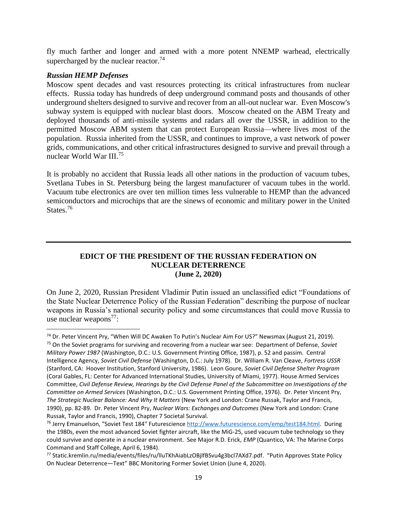fly much farther and longer and armed with a more potent NNEMP warhead, electrically supercharged by the nuclear reactor.<sup>74</sup>

#### *Russian HEMP Defenses*

Moscow spent decades and vast resources protecting its critical infrastructures from nuclear effects. Russia today has hundreds of deep underground command posts and thousands of other underground shelters designed to survive and recover from an all-out nuclear war. Even Moscow's subway system is equipped with nuclear blast doors. Moscow cheated on the ABM Treaty and deployed thousands of anti-missile systems and radars all over the USSR, in addition to the permitted Moscow ABM system that can protect European Russia—where lives most of the population. Russia inherited from the USSR, and continues to improve, a vast network of power grids, communications, and other critical infrastructures designed to survive and prevail through a nuclear World War III.<sup>75</sup>

It is probably no accident that Russia leads all other nations in the production of vacuum tubes, Svetlana Tubes in St. Petersburg being the largest manufacturer of vacuum tubes in the world. Vacuum tube electronics are over ten million times less vulnerable to HEMP than the advanced semiconductors and microchips that are the sinews of economic and military power in the United States.<sup>76</sup>

#### **EDICT OF THE PRESIDENT OF THE RUSSIAN FEDERATION ON NUCLEAR DETERRENCE (June 2, 2020)**

On June 2, 2020, Russian President Vladimir Putin issued an unclassified edict "Foundations of the State Nuclear Deterrence Policy of the Russian Federation" describing the purpose of nuclear weapons in Russia's national security policy and some circumstances that could move Russia to use nuclear weapons<sup>77</sup>:

<sup>74</sup> Dr. Peter Vincent Pry, "When Will DC Awaken To Putin's Nuclear Aim For US?" Newsmax (August 21, 2019). <sup>75</sup> On the Soviet programs for surviving and recovering from a nuclear war see: Department of Defense, *Soviet Military Power 1987* (Washington, D.C.: U.S. Government Printing Office, 1987), p. 52 and passim. Central Intelligence Agency, *Soviet Civil Defense* (Washington, D.C.: July 1978). Dr. William R. Van Cleave, *Fortress USSR*  (Stanford, CA: Hoover Institution, Stanford University, 1986). Leon Goure, *Soviet Civil Defense Shelter Program* (Coral Gables, FL: Center for Advanced International Studies, University of Miami, 1977). House Armed Services Committee, *Civil Defense Review, Hearings by the Civil Defense Panel of the Subcommittee on Investigations of the Committee on Armed Services* (Washington, D.C.: U.S. Government Printing Office, 1976). Dr. Peter Vincent Pry, *The Strategic Nuclear Balance: And Why It Matters* (New York and London: Crane Russak, Taylor and Francis, 1990), pp. 82-89. Dr. Peter Vincent Pry, *Nuclear Wars: Exchanges and Outcomes* (New York and London: Crane Russak, Taylor and Francis, 1990), Chapter 7 Societal Survival.

<sup>&</sup>lt;sup>76</sup> Jerry Emanuelson, "Soviet Test 184" Futurescience [http://www.futurescience.com/emp/test184.html.](http://www.futurescience.com/emp/test184.html) During the 1980s, even the most advanced Soviet fighter aircraft, like the MiG-25, used vacuum tube technology so they could survive and operate in a nuclear environment. See Major R.D. Erick, *EMP* (Quantico, VA: The Marine Corps Command and Staff College, April 6, 1984).

<sup>77</sup> Static.kremlin.ru/media/events/files/ru/lluTKhAiabLzOBjlfBSvu4g3bcl7AXd7.pdf. "Putin Approves State Policy On Nuclear Deterrence—Text" BBC Monitoring Former Soviet Union (June 4, 2020).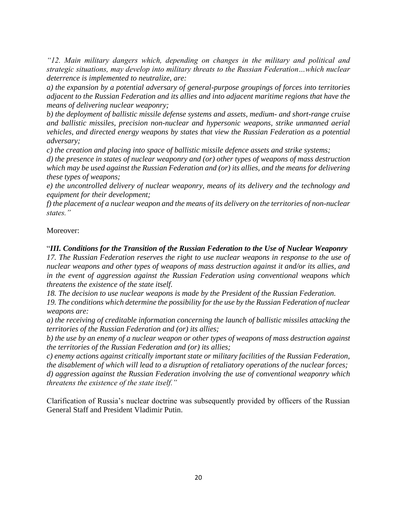*"12. Main military dangers which, depending on changes in the military and political and strategic situations, may develop into military threats to the Russian Federation…which nuclear deterrence is implemented to neutralize, are:*

*a) the expansion by a potential adversary of general-purpose groupings of forces into territories adjacent to the Russian Federation and its allies and into adjacent maritime regions that have the means of delivering nuclear weaponry;*

*b) the deployment of ballistic missile defense systems and assets, medium- and short-range cruise and ballistic missiles, precision non-nuclear and hypersonic weapons, strike unmanned aerial vehicles, and directed energy weapons by states that view the Russian Federation as a potential adversary;*

*c) the creation and placing into space of ballistic missile defence assets and strike systems;*

*d) the presence in states of nuclear weaponry and (or) other types of weapons of mass destruction which may be used against the Russian Federation and (or) its allies, and the means for delivering these types of weapons;*

*e) the uncontrolled delivery of nuclear weaponry, means of its delivery and the technology and equipment for their development;*

*f) the placement of a nuclear weapon and the means of its delivery on the territories of non-nuclear states."*

# Moreover:

# "*III. Conditions for the Transition of the Russian Federation to the Use of Nuclear Weaponry*

*17. The Russian Federation reserves the right to use nuclear weapons in response to the use of nuclear weapons and other types of weapons of mass destruction against it and/or its allies, and in the event of aggression against the Russian Federation using conventional weapons which threatens the existence of the state itself.*

*18. The decision to use nuclear weapons is made by the President of the Russian Federation.*

*19. The conditions which determine the possibility for the use by the Russian Federation of nuclear weapons are:*

*a) the receiving of creditable information concerning the launch of ballistic missiles attacking the territories of the Russian Federation and (or) its allies;*

*b) the use by an enemy of a nuclear weapon or other types of weapons of mass destruction against the territories of the Russian Federation and (or) its allies;*

*c) enemy actions against critically important state or military facilities of the Russian Federation, the disablement of which will lead to a disruption of retaliatory operations of the nuclear forces; d) aggression against the Russian Federation involving the use of conventional weaponry which threatens the existence of the state itself."*

Clarification of Russia's nuclear doctrine was subsequently provided by officers of the Russian General Staff and President Vladimir Putin.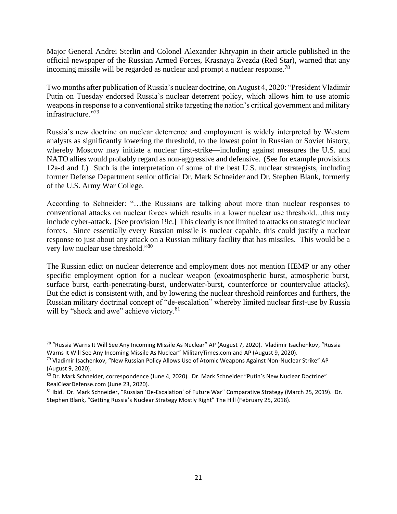Major General Andrei Sterlin and Colonel Alexander Khryapin in their article published in the official newspaper of the Russian Armed Forces, Krasnaya Zvezda (Red Star), warned that any incoming missile will be regarded as nuclear and prompt a nuclear response.<sup>78</sup>

Two months after publication of Russia's nuclear doctrine, on August 4, 2020: "President Vladimir Putin on Tuesday endorsed Russia's nuclear deterrent policy, which allows him to use atomic weapons in response to a conventional strike targeting the nation's critical government and military infrastructure."<sup>79</sup>

Russia's new doctrine on nuclear deterrence and employment is widely interpreted by Western analysts as significantly lowering the threshold, to the lowest point in Russian or Soviet history, whereby Moscow may initiate a nuclear first-strike—including against measures the U.S. and NATO allies would probably regard as non-aggressive and defensive. (See for example provisions 12a-d and f.) Such is the interpretation of some of the best U.S. nuclear strategists, including former Defense Department senior official Dr. Mark Schneider and Dr. Stephen Blank, formerly of the U.S. Army War College.

According to Schneider: "…the Russians are talking about more than nuclear responses to conventional attacks on nuclear forces which results in a lower nuclear use threshold…this may include cyber-attack. [See provision 19c.] This clearly is not limited to attacks on strategic nuclear forces. Since essentially every Russian missile is nuclear capable, this could justify a nuclear response to just about any attack on a Russian military facility that has missiles. This would be a very low nuclear use threshold."<sup>80</sup>

The Russian edict on nuclear deterrence and employment does not mention HEMP or any other specific employment option for a nuclear weapon (exoatmospheric burst, atmospheric burst, surface burst, earth-penetrating-burst, underwater-burst, counterforce or countervalue attacks). But the edict is consistent with, and by lowering the nuclear threshold reinforces and furthers, the Russian military doctrinal concept of "de-escalation" whereby limited nuclear first-use by Russia will by "shock and awe" achieve victory.<sup>81</sup>

<sup>78</sup> "Russia Warns It Will See Any Incoming Missile As Nuclear" AP (August 7, 2020). Vladimir Isachenkov, "Russia Warns It Will See Any Incoming Missile As Nuclear" MilitaryTimes.com and AP (August 9, 2020).

<sup>&</sup>lt;sup>79</sup> Vladimir Isachenkov, "New Russian Policy Allows Use of Atomic Weapons Against Non-Nuclear Strike" AP (August 9, 2020).

<sup>80</sup> Dr. Mark Schneider, correspondence (June 4, 2020). Dr. Mark Schneider "Putin's New Nuclear Doctrine" RealClearDefense.com (June 23, 2020).

<sup>81</sup> Ibid. Dr. Mark Schneider, "Russian 'De-Escalation' of Future War" Comparative Strategy (March 25, 2019). Dr. Stephen Blank, "Getting Russia's Nuclear Strategy Mostly Right" The Hill (February 25, 2018).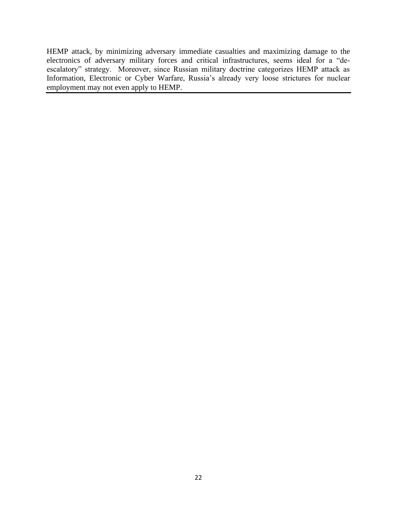HEMP attack, by minimizing adversary immediate casualties and maximizing damage to the electronics of adversary military forces and critical infrastructures, seems ideal for a "deescalatory" strategy. Moreover, since Russian military doctrine categorizes HEMP attack as Information, Electronic or Cyber Warfare, Russia's already very loose strictures for nuclear employment may not even apply to HEMP.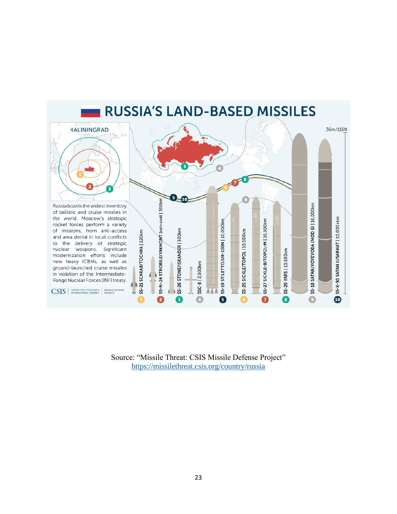

Source: "Missile Threat: CSIS Missile Defense Project" [https://missilethreat.csis.org/country/r](https://missilethreat.csis.org/country/)ussia